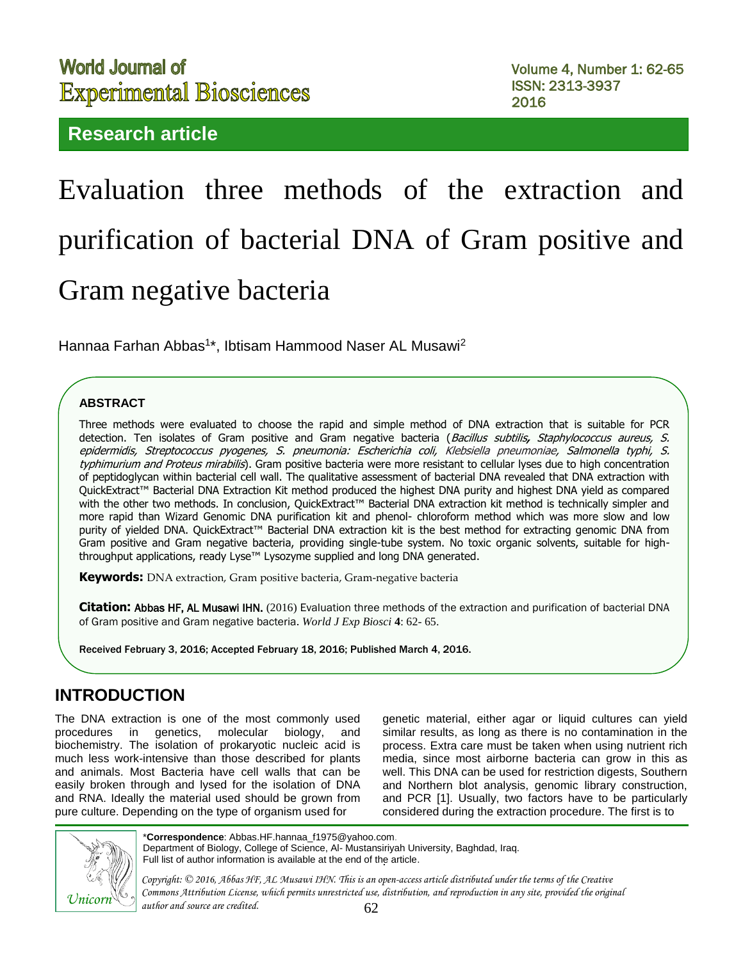# **World Journal of Experimental Biosciences**

# **Research article**

# Evaluation three methods of the extraction and purification of bacterial DNA of Gram positive and Gram negative bacteria

Hannaa Farhan Abbas<sup>1\*</sup>, Ibtisam Hammood Naser AL Musawi<sup>2</sup>

#### **ABSTRACT**

Three methods were evaluated to choose the rapid and simple method of DNA extraction that is suitable for PCR detection. Ten isolates of Gram positive and Gram negative bacteria ([Bacillus subtilis](https://www.google.iq/url?sa=t&rct=j&q=&esrc=s&source=web&cd=5&cad=rja&uact=8&ved=0ahUKEwi8gN23xP_KAhVBM5oKHUi1BhcQFggnMAQ&url=https%3A%2F%2Fen.wikipedia.org%2Fwiki%2FBacillus_subtilis&usg=AFQjCNGFijWm9LtsdZ-Da63OlFj9u3JOdg&sig2=gyH6vgZnB6sx_-FkTMO31A&bvm=bv.114195076,d.bGs)**,** Staphylococcus aureus, S. epidermidis, Streptococcus pyogenes, S. pneumonia: Escherichia coli, Klebsiella pneumoniae, Salmonella typhi, S. typhimurium and Proteus mirabilis). Gram positive bacteria were more resistant to cellular lyses due to high concentration of peptidoglycan within bacterial cell wall. The qualitative assessment of bacterial DNA revealed that DNA extraction with QuickExtract™ Bacterial DNA Extraction Kit method produced the highest DNA purity and highest DNA yield as compared with the other two methods. In conclusion, QuickExtract™ Bacterial DNA extraction kit method is technically simpler and more rapid than Wizard Genomic DNA purification kit and phenol- chloroform method which was more slow and low purity of yielded DNA. QuickExtract™ Bacterial DNA extraction kit is the best method for extracting genomic DNA from Gram positive and Gram negative bacteria, providing single-tube system. No toxic organic solvents, suitable for highthroughput applications, ready Lyse™ Lysozyme supplied and long DNA generated.

**Keywords:** DNA extraction, Gram positive bacteria, Gram-negative bacteria

**Citation**: Abbas HF, AL Musawi IHN. (2016) Evaluation three methods of the extraction and purification of bacterial DNA of Gram positive and Gram negative bacteria. *World J Exp Biosci* **4**: 62- 65.

Received February 3, 2016; Accepted February 18, 2016; Published March 4, 2016.

# **INTRODUCTION**

The DNA extraction is one of the most commonly used procedures in genetics, molecular biology, and biochemistry. The isolation of prokaryotic nucleic acid is much less work-intensive than those described for plants and animals. Most Bacteria have cell walls that can be easily broken through and lysed for the isolation of DNA and RNA. Ideally the material used should be grown from pure culture. Depending on the type of organism used for

genetic material, either agar or liquid cultures can yield similar results, as long as there is no contamination in the process. Extra care must be taken when using nutrient rich media, since most airborne bacteria can grow in this as well. This DNA can be used for restriction digests, Southern and Northern blot analysis, genomic library construction, and PCR [1]. Usually, two factors have to be particularly considered during the extraction procedure. The first is to



. Full list of author information is available at the end of the article.\***Correspondence**: Abbas.HF[.hannaa\\_f1975@yahoo.com](mailto:hannaa_f1975@yahoo.com). Department of Biology, College of Science, Al- Mustansiriyah University, Baghdad, Iraq.

*Copyright: © 2016, Abbas HF, AL Musawi IHN. This is an open-access article distributed under the terms of the Creative Commons Attribution License, which permits unrestricted use, distribution, and reproduction in any site, provided the original author and source are credited.*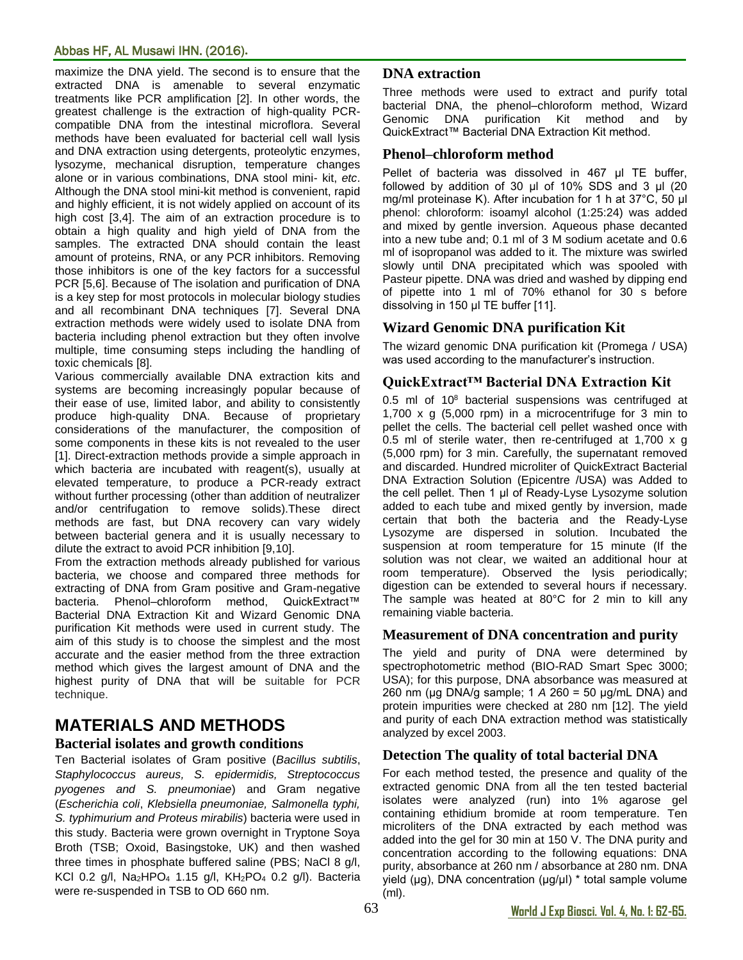#### Abbas HF, AL Musawi IHN. (2016)**.**

maximize the DNA yield. The second is to ensure that the extracted DNA is amenable to several enzymatic treatments like PCR amplification [2]. In other words, the greatest challenge is the extraction of high-quality PCRcompatible DNA from the intestinal microflora. Several methods have been evaluated for bacterial cell wall lysis and DNA extraction using detergents, proteolytic enzymes, lysozyme, mechanical disruption, temperature changes alone or in various combinations, DNA stool mini- kit, *etc*. Although the DNA stool mini-kit method is convenient, rapid and highly efficient, it is not widely applied on account of its high cost [3,4]. The aim of an extraction procedure is to obtain a high quality and high yield of DNA from the samples. The extracted DNA should contain the least amount of proteins, RNA, or any PCR inhibitors. Removing those inhibitors is one of the key factors for a successful PCR [5,6]. Because of The isolation and purification of DNA is a key step for most protocols in molecular biology studies and all recombinant DNA techniques [7]. Several DNA extraction methods were widely used to isolate DNA from bacteria including phenol extraction but they often involve multiple, time consuming steps including the handling of toxic chemicals [8].

Various commercially available DNA extraction kits and systems are becoming increasingly popular because of their ease of use, limited labor, and ability to consistently produce high-quality DNA. Because of proprietary considerations of the manufacturer, the composition of some components in these kits is not revealed to the user [1]. Direct-extraction methods provide a simple approach in which bacteria are incubated with reagent(s), usually at elevated temperature, to produce a PCR-ready extract without further processing (other than addition of neutralizer and/or centrifugation to remove solids).These direct methods are fast, but DNA recovery can vary widely between bacterial genera and it is usually necessary to dilute the extract to avoid PCR inhibition [9,10].

From the extraction methods already published for various bacteria, we choose and compared three methods for extracting of DNA from Gram positive and Gram-negative bacteria. Phenol–chloroform method, QuickExtract™ Bacterial DNA Extraction Kit and Wizard Genomic DNA purification Kit methods were used in current study. The aim of this study is to choose the simplest and the most accurate and the easier method from the three extraction method which gives the largest amount of DNA and the highest purity of DNA that will be suitable for PCR technique.

# **MATERIALS AND METHODS**

#### **Bacterial isolates and growth conditions**

Ten Bacterial isolates of Gram positive (*Bacillus subtilis*, *Staphylococcus aureus, S. epidermidis, Streptococcus pyogenes and S. pneumoniae*) and Gram negative (*Escherichia coli*, *Klebsiella pneumoniae, Salmonella typhi, S. typhimurium and Proteus mirabilis*) bacteria were used in this study. Bacteria were grown overnight in Tryptone Soya Broth (TSB; Oxoid, Basingstoke, UK) and then washed three times in phosphate buffered saline (PBS; NaCl 8 g/l, KCl 0.2 g/l, Na2HPO<sup>4</sup> 1.15 g/l, KH2PO<sup>4</sup> 0.2 g/l). Bacteria were re-suspended in TSB to OD 660 nm.

#### **DNA extraction**

Three methods were used to extract and purify total bacterial DNA, the phenol–chloroform method, Wizard Genomic DNA purification Kit method and by QuickExtract™ Bacterial DNA Extraction Kit method.

#### **Phenol–chloroform method**

Pellet of bacteria was dissolved in 467 μl TE buffer, followed by addition of 30 μl of 10% SDS and 3 μl (20 mg/ml proteinase K). After incubation for 1 h at 37°C, 50 μl phenol: chloroform: isoamyl alcohol (1:25:24) was added and mixed by gentle inversion. Aqueous phase decanted into a new tube and; 0.1 ml of 3 M sodium acetate and 0.6 ml of isopropanol was added to it. The mixture was swirled slowly until DNA precipitated which was spooled with Pasteur pipette. DNA was dried and washed by dipping end of pipette into 1 ml of 70% ethanol for 30 s before dissolving in 150 μl TE buffer [11].

#### **Wizard Genomic DNA purification Kit**

The wizard genomic DNA purification kit (Promega / USA) was used according to the manufacturer's instruction.

#### **QuickExtract™ Bacterial DNA Extraction Kit**

0.5 ml of  $10^8$  bacterial suspensions was centrifuged at 1,700 x g (5,000 rpm) in a microcentrifuge for 3 min to pellet the cells. The bacterial cell pellet washed once with 0.5 ml of sterile water, then re-centrifuged at 1,700 x g (5,000 rpm) for 3 min. Carefully, the supernatant removed and discarded. Hundred microliter of QuickExtract Bacterial DNA Extraction Solution (Epicentre /USA) was Added to the cell pellet. Then 1 μl of Ready-Lyse Lysozyme solution added to each tube and mixed gently by inversion, made certain that both the bacteria and the Ready-Lyse Lysozyme are dispersed in solution. Incubated the suspension at room temperature for 15 minute (If the solution was not clear, we waited an additional hour at room temperature). Observed the lysis periodically; digestion can be extended to several hours if necessary. The sample was heated at 80°C for 2 min to kill any remaining viable bacteria.

#### **Measurement of DNA concentration and purity**

The yield and purity of DNA were determined by spectrophotometric method (BIO-RAD Smart Spec 3000; USA); for this purpose, DNA absorbance was measured at 260 nm (μg DNA/g sample; 1 *A* 260 = 50 μg/mL DNA) and protein impurities were checked at 280 nm [12]. The yield and purity of each DNA extraction method was statistically analyzed by excel 2003.

#### **Detection The quality of total bacterial DNA**

For each method tested, the presence and quality of the extracted genomic DNA from all the ten tested bacterial isolates were analyzed (run) into 1% agarose gel containing ethidium bromide at room temperature. Ten microliters of the DNA extracted by each method was added into the gel for 30 min at 150 V. The DNA purity and concentration according to the following equations: DNA purity, absorbance at 260 nm / absorbance at 280 nm. DNA yield (μg), DNA concentration (μg/μl) \* total sample volume (ml).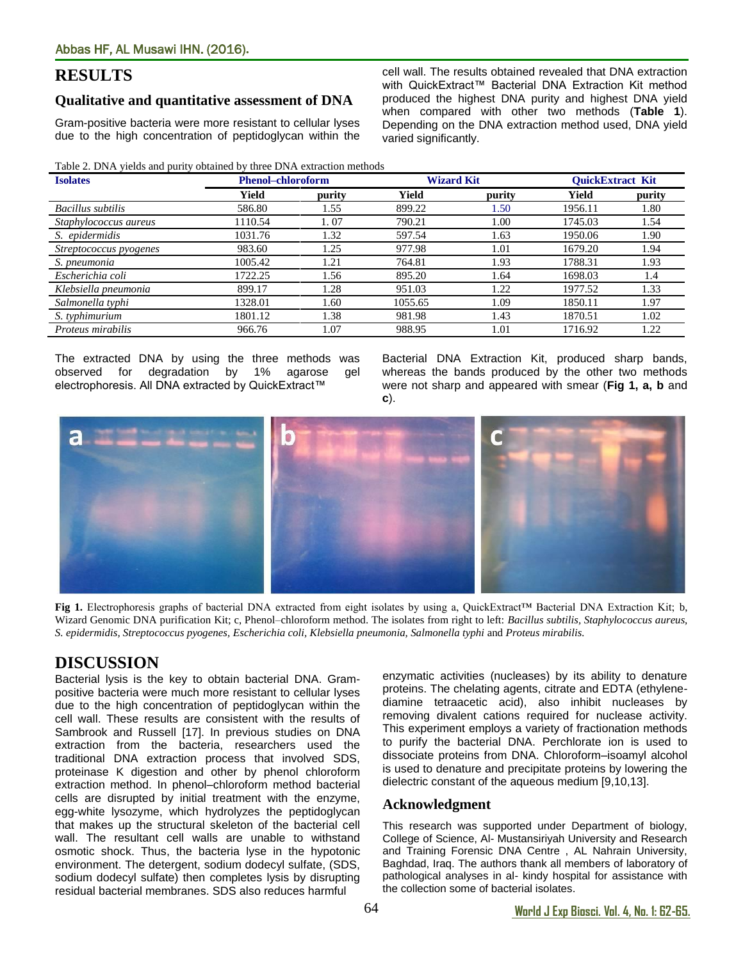## **RESULTS**

#### **Qualitative and quantitative assessment of DNA**

Gram-positive bacteria were more resistant to cellular lyses due to the high concentration of peptidoglycan within the

Table 2. DNA yields and purity obtained by three DNA extraction methods

| Table 2. Divix yields and partly obtained by three Divix extraction inclinuas |                          |        |                   |        |                         |        |
|-------------------------------------------------------------------------------|--------------------------|--------|-------------------|--------|-------------------------|--------|
| <b>Isolates</b>                                                               | <b>Phenol-chloroform</b> |        | <b>Wizard Kit</b> |        | <b>OuickExtract Kit</b> |        |
|                                                                               | Yield                    | purity | Yield             | purity | Yield                   | purity |
| Bacillus subtilis                                                             | 586.80                   | 1.55   | 899.22            | 1.50   | 1956.11                 | 1.80   |
| Staphylococcus aureus                                                         | 1110.54                  | 1.07   | 790.21            | 1.00   | 1745.03                 | 1.54   |
| S. epidermidis                                                                | 1031.76                  | 1.32   | 597.54            | 1.63   | 1950.06                 | 1.90   |
| Streptococcus pyogenes                                                        | 983.60                   | 1.25   | 977.98            | 1.01   | 1679.20                 | 1.94   |
| S. pneumonia                                                                  | 1005.42                  | 1.21   | 764.81            | 1.93   | 1788.31                 | 1.93   |
| Escherichia coli                                                              | 1722.25                  | 1.56   | 895.20            | 1.64   | 1698.03                 | 1.4    |
| Klebsiella pneumonia                                                          | 899.17                   | 1.28   | 951.03            | 1.22   | 1977.52                 | 1.33   |
| Salmonella typhi                                                              | 1328.01                  | 1.60   | 1055.65           | 1.09   | 1850.11                 | 1.97   |
| S. typhimurium                                                                | 1801.12                  | 1.38   | 981.98            | 1.43   | 1870.51                 | 1.02   |
| Proteus mirabilis                                                             | 966.76                   | 1.07   | 988.95            | 1.01   | 1716.92                 | 1.22   |

varied significantly.

The extracted DNA by using the three methods was observed for degradation by 1% agarose gel electrophoresis. All DNA extracted by QuickExtract™

Bacterial DNA Extraction Kit, produced sharp bands, whereas the bands produced by the other two methods were not sharp and appeared with smear (**Fig 1, a, b** and **c**).

cell wall. The results obtained revealed that DNA extraction with QuickExtract™ Bacterial DNA Extraction Kit method produced the highest DNA purity and highest DNA yield when compared with other two methods (**Table 1**). Depending on the DNA extraction method used, DNA yield



**Fig 1.** Electrophoresis graphs of bacterial DNA extracted from eight isolates by using a, QuickExtract™ Bacterial DNA Extraction Kit; b, Wizard Genomic DNA purification Kit; c, Phenol–chloroform method. The isolates from right to left: *Bacillus subtilis, Staphylococcus aureus, S. epidermidis, Streptococcus pyogenes, Escherichia coli, Klebsiella pneumonia, Salmonella typhi* and *Proteus mirabilis.*

# **DISCUSSION**

Bacterial lysis is the key to obtain bacterial DNA. Grampositive bacteria were much more resistant to cellular lyses due to the high concentration of peptidoglycan within the cell wall. These results are consistent with the results of Sambrook and Russell [17]. In previous studies on DNA extraction from the bacteria, researchers used the traditional DNA extraction process that involved SDS, proteinase K digestion and other by phenol chloroform extraction method. In phenol–chloroform method bacterial cells are disrupted by initial treatment with the enzyme, egg-white lysozyme, which hydrolyzes the peptidoglycan that makes up the structural skeleton of the bacterial cell wall. The resultant cell walls are unable to withstand osmotic shock. Thus, the bacteria lyse in the hypotonic environment. The detergent, sodium dodecyl sulfate, (SDS, sodium dodecyl sulfate) then completes lysis by disrupting residual bacterial membranes. SDS also reduces harmful

enzymatic activities (nucleases) by its ability to denature proteins. The chelating agents, citrate and EDTA (ethylenediamine tetraacetic acid), also inhibit nucleases by removing divalent cations required for nuclease activity. This experiment employs a variety of fractionation methods to purify the bacterial DNA. Perchlorate ion is used to dissociate proteins from DNA. Chloroform–isoamyl alcohol is used to denature and precipitate proteins by lowering the dielectric constant of the aqueous medium [9,10,13].

#### **Acknowledgment**

This research was supported under Department of biology, College of Science, Al- Mustansiriyah University and Research and Training Forensic DNA Centre , AL Nahrain University, Baghdad, Iraq. The authors thank all members of laboratory of pathological analyses in al- kindy hospital for assistance with the collection some of bacterial isolates.